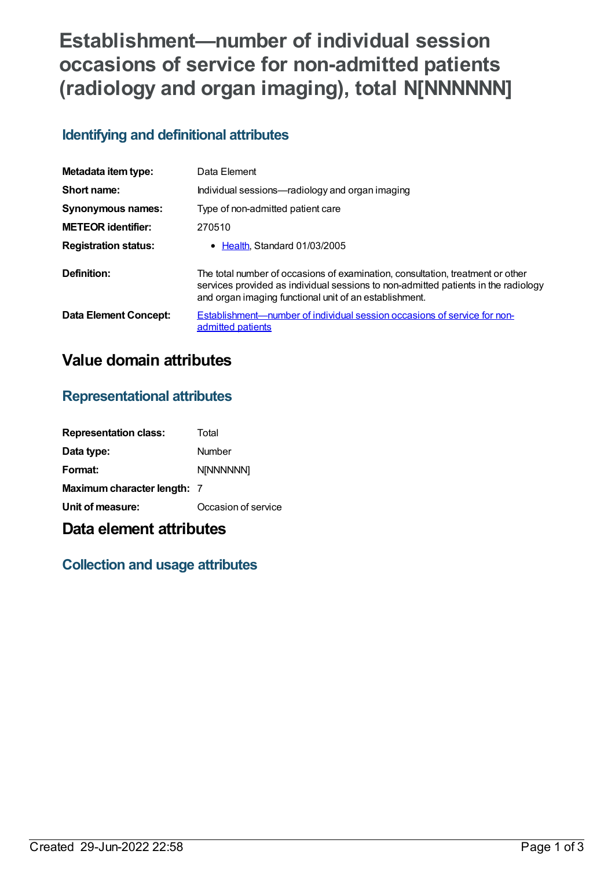# **Establishment—number of individual session occasions of service for non-admitted patients (radiology and organ imaging), total N[NNNNNN]**

## **Identifying and definitional attributes**

| Metadata item type:         | Data Element                                                                                                                                                                                                                   |
|-----------------------------|--------------------------------------------------------------------------------------------------------------------------------------------------------------------------------------------------------------------------------|
| Short name:                 | Individual sessions-radiology and organ imaging                                                                                                                                                                                |
| Synonymous names:           | Type of non-admitted patient care                                                                                                                                                                                              |
| <b>METEOR</b> identifier:   | 270510                                                                                                                                                                                                                         |
| <b>Registration status:</b> | • Health Standard 01/03/2005                                                                                                                                                                                                   |
| Definition:                 | The total number of occasions of examination, consultation, treatment or other<br>services provided as individual sessions to non-admitted patients in the radiology<br>and organ imaging functional unit of an establishment. |
| Data Element Concept:       | Establishment—number of individual session occasions of service for non-<br>admitted patients                                                                                                                                  |

### **Value domain attributes**

#### **Representational attributes**

| <b>Representation class:</b> | Total               |
|------------------------------|---------------------|
| Data type:                   | Number              |
| Format:                      | <b>NINNNNNNI</b>    |
| Maximum character length: 7  |                     |
| Unit of measure:             | Occasion of service |

### **Data element attributes**

### **Collection and usage attributes**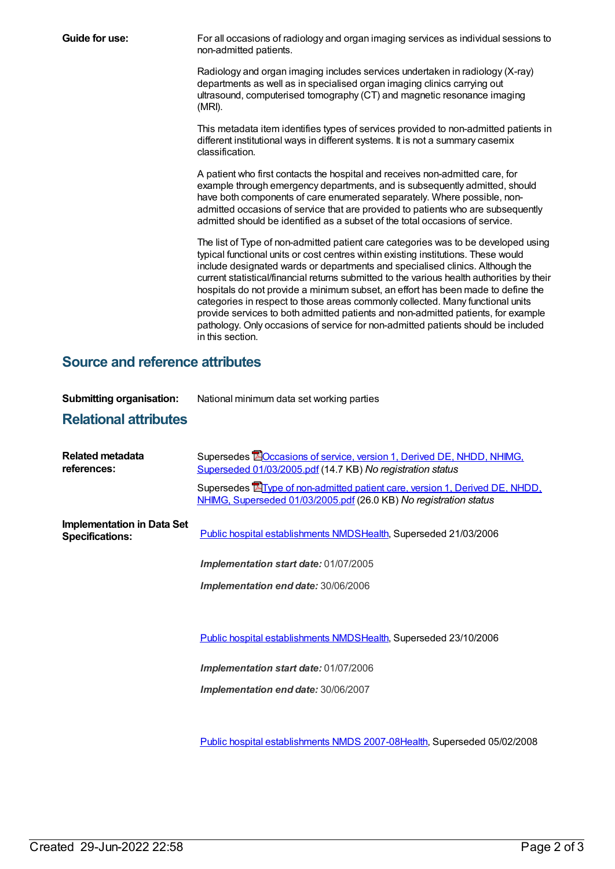**Guide for use:** For all occasions of radiology and organ imaging services as individual sessions to non-admitted patients.

> Radiology and organ imaging includes services undertaken in radiology (X-ray) departments as well as in specialised organ imaging clinics carrying out ultrasound, computerised tomography (CT) and magnetic resonance imaging (MRI).

This metadata item identifies types of services provided to non-admitted patients in different institutional ways in different systems. It is not a summary casemix classification.

A patient who first contacts the hospital and receives non-admitted care, for example through emergency departments, and is subsequently admitted, should have both components of care enumerated separately. Where possible, nonadmitted occasions of service that are provided to patients who are subsequently admitted should be identified as a subset of the total occasions of service.

The list of Type of non-admitted patient care categories was to be developed using typical functional units or cost centres within existing institutions. These would include designated wards or departments and specialised clinics. Although the current statistical/financial returns submitted to the various health authorities by their hospitals do not provide a minimum subset, an effort has been made to define the categories in respect to those areas commonly collected. Many functional units provide services to both admitted patients and non-admitted patients, for example pathology. Only occasions of service for non-admitted patients should be included in this section.

#### **Source and reference attributes**

| <b>Submitting organisation:</b><br><b>Relational attributes</b> | National minimum data set working parties                                                                                                                                                                                                                                                               |
|-----------------------------------------------------------------|---------------------------------------------------------------------------------------------------------------------------------------------------------------------------------------------------------------------------------------------------------------------------------------------------------|
| Related metadata<br>references:                                 | Supersedes <b>EO</b> ccasions of service, version 1, Derived DE, NHDD, NHIMG,<br>Superseded 01/03/2005.pdf (14.7 KB) No registration status<br>Supersedes <b>E</b> Type of non-admitted patient care, version 1, Derived DE, NHDD,<br>NHIMG, Superseded 01/03/2005.pdf (26.0 KB) No registration status |
| <b>Implementation in Data Set</b><br><b>Specifications:</b>     | Public hospital establishments NMDSHealth, Superseded 21/03/2006                                                                                                                                                                                                                                        |
|                                                                 | Implementation start date: 01/07/2005                                                                                                                                                                                                                                                                   |
|                                                                 | Implementation end date: 30/06/2006                                                                                                                                                                                                                                                                     |
|                                                                 |                                                                                                                                                                                                                                                                                                         |
|                                                                 | Public hospital establishments NMDSHealth, Superseded 23/10/2006                                                                                                                                                                                                                                        |
|                                                                 | <b>Implementation start date: 01/07/2006</b>                                                                                                                                                                                                                                                            |

*Implementation end date:* 30/06/2007

Public hospital [establishments](https://meteor.aihw.gov.au/content/345139) NMDS 2007-08[Health](https://meteor.aihw.gov.au/RegistrationAuthority/12), Superseded 05/02/2008